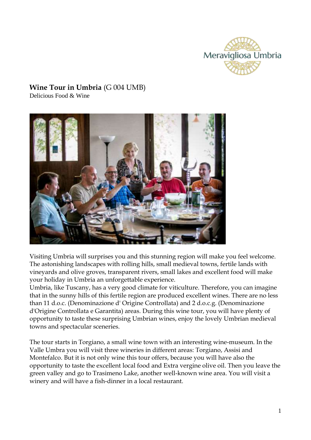

# **Wine Tour in Umbria** (G 004 UMB)

Delicious Food & Wine



Visiting Umbria will surprises you and this stunning region will make you feel welcome. The astonishing landscapes with rolling hills, small medieval towns, fertile lands with vineyards and olive groves, transparent rivers, small lakes and excellent food will make your holiday in Umbria an unforgettable experience.

Umbria, like Tuscany, has a very good climate for viticulture. Therefore, you can imagine that in the sunny hills of this fertile region are produced excellent wines. There are no less than 11 d.o.c. (Denominazione d' Origine Controllata) and 2 d.o.c.g. (Denominazione d'Origine Controllata e Garantita) areas. During this wine tour, you will have plenty of opportunity to taste these surprising Umbrian wines, enjoy the lovely Umbrian medieval towns and spectacular sceneries.

The tour starts in Torgiano, a small wine town with an interesting wine-museum. In the Valle Umbra you will visit three wineries in different areas: Torgiano, Assisi and Montefalco. But it is not only wine this tour offers, because you will have also the opportunity to taste the excellent local food and Extra vergine olive oil. Then you leave the green valley and go to Trasimeno Lake, another well-known wine area. You will visit a winery and will have a fish-dinner in a local restaurant.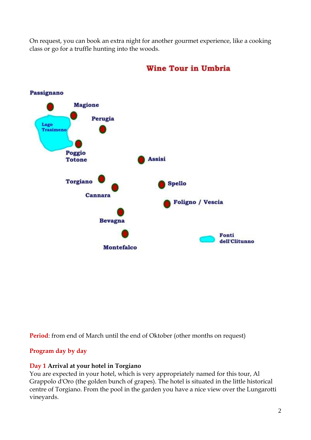On request, you can book an extra night for another gourmet experience, like a cooking class or go for a truffle hunting into the woods.



# **Wine Tour in Umbria**

**Period**: from end of March until the end of Oktober (other months on request)

# **Program day by day**

# **Day 1 Arrival at your hotel in Torgiano**

You are expected in your hotel, which is very appropriately named for this tour, Al Grappolo d'Oro (the golden bunch of grapes). The hotel is situated in the little historical centre of Torgiano. From the pool in the garden you have a nice view over the Lungarotti vineyards.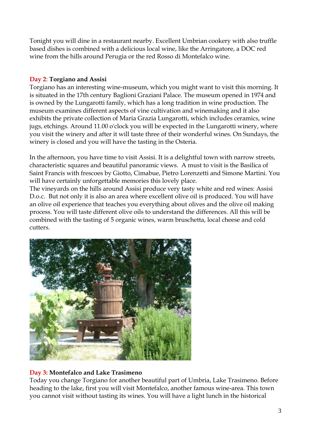Tonight you will dine in a restaurant nearby. Excellent Umbrian cookery with also truffle based dishes is combined with a delicious local wine, like the Arringatore, a DOC red wine from the hills around Perugia or the red Rosso di Montefalco wine.

#### **Day 2**: **Torgiano and Assisi**

Torgiano has an interesting wine-museum, which you might want to visit this morning. It is situated in the 17th century Baglioni Graziani Palace. The museum opened in 1974 and is owned by the Lungarotti family, which has a long tradition in wine production. The museum examines different aspects of vine cultivation and winemaking and it also exhibits the private collection of Maria Grazia Lungarotti, which includes ceramics, wine jugs, etchings. Around 11.00 o'clock you will be expected in the Lungarotti winery, where you visit the winery and after it will taste three of their wonderful wines. On Sundays, the winery is closed and you will have the tasting in the Osteria.

In the afternoon, you have time to visit Assisi. It is a delightful town with narrow streets, characteristic squares and beautiful panoramic views. A must to visit is the Basilica of Saint Francis with frescoes by Giotto, Cimabue, Pietro Lorenzetti and Simone Martini. You will have certainly unforgettable memories this lovely place.

The vineyards on the hills around Assisi produce very tasty white and red wines: Assisi D.o.c. But not only it is also an area where excellent olive oil is produced. You will have an olive oil experience that teaches you everything about olives and the olive oil making process. You will taste different olive oils to understand the differences. All this will be combined with the tasting of 5 organic wines, warm bruschetta, local cheese and cold cutters.



# **Day 3: Montefalco and Lake Trasimeno**

Today you change Torgiano for another beautiful part of Umbria, Lake Trasimeno. Before heading to the lake, first you will visit Montefalco, another famous wine-area. This town you cannot visit without tasting its wines. You will have a light lunch in the historical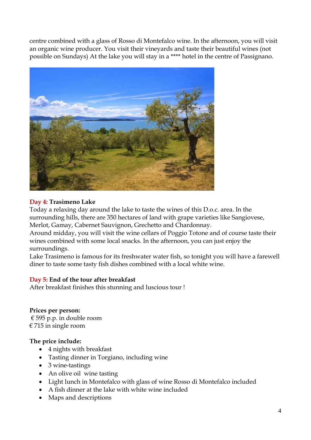centre combined with a glass of Rosso di Montefalco wine. In the afternoon, you will visit an organic wine producer. You visit their vineyards and taste their beautiful wines (not possible on Sundays) At the lake you will stay in a \*\*\*\* hotel in the centre of Passignano.



#### **Day 4: Trasimeno Lake**

Today a relaxing day around the lake to taste the wines of this D.o.c. area. In the surrounding hills, there are 350 hectares of land with grape varieties like Sangiovese, Merlot, Gamay, Cabernet Sauvignon, Grechetto and Chardonnay.

Around midday, you will visit the wine cellars of Poggio Totone and of course taste their wines combined with some local snacks. In the afternoon, you can just enjoy the surroundings.

Lake Trasimeno is famous for its freshwater water fish, so tonight you will have a farewell diner to taste some tasty fish dishes combined with a local white wine.

# **Day 5: End of the tour after breakfast**

After breakfast finishes this stunning and luscious tour !

**Prices per person:** € 595 p.p. in double room € 715 in single room

#### **The price include:**

- 4 nights with breakfast
- Tasting dinner in Torgiano, including wine
- 3 wine-tastings
- An olive oil wine tasting
- Light lunch in Montefalco with glass of wine Rosso di Montefalco included
- A fish dinner at the lake with white wine included
- Maps and descriptions